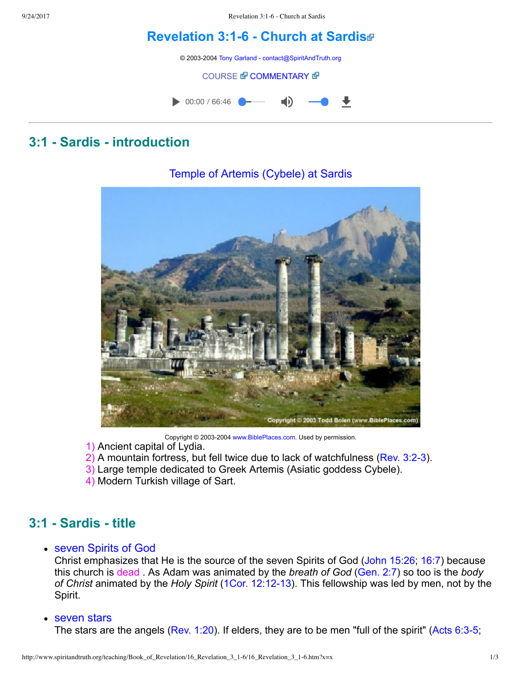9/24/2017 Revelation 3:1-6 - Church at Sardis

# **[Revelation](http://www.spiritandtruth.org/teaching/Book_of_Revelation/16_Revelation_3_1-6/index.htm) 3:16 Church at Sardis**

© 2003-2004 [Tony Garland](http://www.spiritandtruth.org/teaching/teachers/tony_garland/bio.htm) - [contact@SpiritAndTruth.org](mailto:contact@SpiritAndTruth.org?subject=ST-MAIL:%20Revelation%203:1-6%20-%20Church%20at%20Sardis)

#### **[COURSE](http://www.spiritandtruth.org/teaching/Book_of_Revelation/16_Revelation_3_1-6/index.htm) & [COMMENTARY](http://www.spiritandtruth.org/teaching/Book_of_Revelation/commentary/htm/index.html?Revelation_3:1) &**



# **3:1 Sardis introduction**



### Temple of Artemis (Cybele) at Sardis

Copyright © 2003-2004 [www.BiblePlaces.com](http://www.bibleplaces.com/). Used by permission.

- 1) Ancient capital of Lydia.
- 2) A mountain fortress, but fell twice due to lack of watchfulness ([Rev. 3:23](http://www.spiritandtruth.org/bibles/nasb/b66c003.htm#Rev._C3V2)).
- 3) Large temple dedicated to Greek Artemis (Asiatic goddess Cybele).
- 4) Modern Turkish village of Sart.

# **3:1 Sardis title**

### seven Spirits of God

Christ emphasizes that He is the source of the seven Spirits of God ([John 15:26;](http://www.spiritandtruth.org/bibles/nasb/b43c015.htm#John_C15V26) [16:7](http://www.spiritandtruth.org/bibles/nasb/b43c016.htm#John_C16V7)) because this church is dead . As Adam was animated by the *breath of God* ([Gen. 2:7](http://www.spiritandtruth.org/bibles/nasb/b01c002.htm#Gen._C2V7)) so too is the *body of Christ* animated by the *Holy Spirit* (1Cor. 12:12-13). This fellowship was led by men, not by the Spirit.

### • seven stars

The stars are the angels ([Rev. 1:20\)](http://www.spiritandtruth.org/bibles/nasb/b66c001.htm#Rev._C1V20). If elders, they are to be men "full of the spirit" (Acts 6:3-5;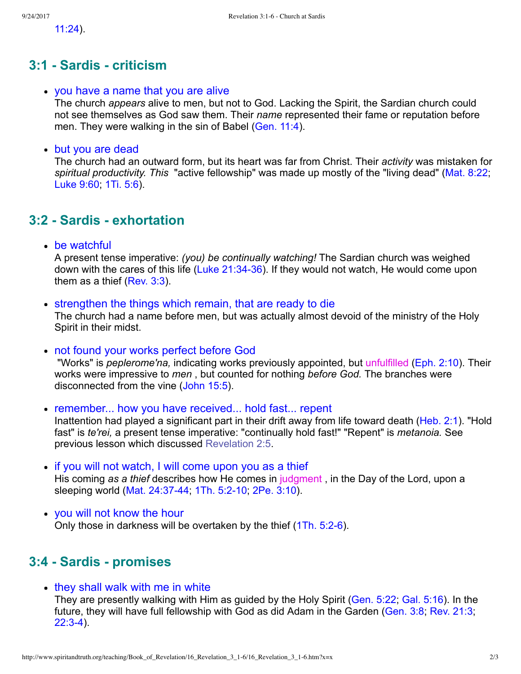[11:24](http://www.spiritandtruth.org/bibles/nasb/b44c011.htm#Acts_C11V24)).

### **3:1 Sardis criticism**

#### you have a name that you are alive

The church *appears* alive to men, but not to God. Lacking the Spirit, the Sardian church could not see themselves as God saw them. Their *name* represented their fame or reputation before men. They were walking in the sin of Babel ([Gen. 11:4\)](http://www.spiritandtruth.org/bibles/nasb/b01c011.htm#Gen._C11V4).

#### but you are dead

The church had an outward form, but its heart was far from Christ. Their *activity* was mistaken for *spiritual productivity. This*  "active fellowship" was made up mostly of the "living dead" [\(Mat. 8:22;](http://www.spiritandtruth.org/bibles/nasb/b40c008.htm#Mat._C8V22) [Luke 9:60;](http://www.spiritandtruth.org/bibles/nasb/b42c009.htm#Luke_C9V60) [1Ti. 5:6](http://www.spiritandtruth.org/bibles/nasb/b54c005.htm#1Ti._C5V6)).

### **3:2 Sardis exhortation**

• be watchful

A present tense imperative: *(you) be continually watching!* The Sardian church was weighed down with the cares of this life (Luke 21:34-36). If they would not watch, He would come upon them as a thief [\(Rev. 3:3\)](http://www.spiritandtruth.org/bibles/nasb/b66c003.htm#Rev._C3V3).

• strengthen the things which remain, that are ready to die

The church had a name before men, but was actually almost devoid of the ministry of the Holy Spirit in their midst.

not found your works perfect before God

 "Works" is *peplerome'na,* indicating works previously appointed, but unfulfilled ([Eph. 2:10](http://www.spiritandtruth.org/bibles/nasb/b49c002.htm#Eph._C2V10)). Their works were impressive to *men* , but counted for nothing *before God.* The branches were disconnected from the vine ([John 15:5](http://www.spiritandtruth.org/bibles/nasb/b43c015.htm#John_C15V5)).

• remember... how you have received... hold fast... repent Inattention had played a significant part in their drift away from life toward death [\(Heb. 2:1](http://www.spiritandtruth.org/bibles/nasb/b58c002.htm#Heb._C2V1)). "Hold fast" is *te'rei,* a present tense imperative: "continually hold fast!" "Repent" is *metanoia.* See previous lesson which discussed [Revelation 2:5.](http://www.spiritandtruth.org/teaching/Book_of_Revelation/14_Revelation_2_1-11/index.htm)

- if you will not watch, I will come upon you as a thief His coming *as a thief* describes how He comes in judgment , in the Day of the Lord, upon a sleeping world (Mat. 24:37-44, 1Th. 5:2-10, [2Pe. 3:10\)](http://www.spiritandtruth.org/bibles/nasb/b61c003.htm#2Pe._C3V10).
- you will not know the hour Only those in darkness will be overtaken by the thief (1Th. 5:2-6).

# **3:4 Sardis promises**

• they shall walk with me in white They are presently walking with Him as guided by the Holy Spirit [\(Gen. 5:22;](http://www.spiritandtruth.org/bibles/nasb/b01c005.htm#Gen._C5V22) [Gal. 5:16](http://www.spiritandtruth.org/bibles/nasb/b48c005.htm#Gal._C5V16)). In the future, they will have full fellowship with God as did Adam in the Garden ([Gen. 3:8;](http://www.spiritandtruth.org/bibles/nasb/b01c003.htm#Gen._C3V8) [Rev. 21:3;](http://www.spiritandtruth.org/bibles/nasb/b66c021.htm#Rev._C21V3)  $22:3-4$ ).